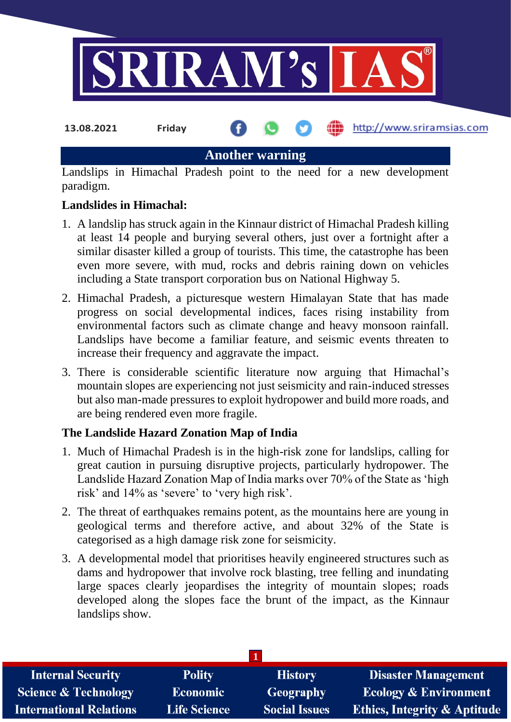

**Another warning**

Landslips in Himachal Pradesh point to the need for a new development paradigm.

### **Landslides in Himachal:**

- 1. A landslip has struck again in the Kinnaur district of Himachal Pradesh killing at least 14 people and burying several others, just over a fortnight after a similar disaster killed a group of tourists. This time, the catastrophe has been even more severe, with mud, rocks and debris raining down on vehicles including a State transport corporation bus on National Highway 5.
- 2. Himachal Pradesh, a picturesque western Himalayan State that has made progress on social developmental indices, faces rising instability from environmental factors such as climate change and heavy monsoon rainfall. Landslips have become a familiar feature, and seismic events threaten to increase their frequency and aggravate the impact.
- 3. There is considerable scientific literature now arguing that Himachal's mountain slopes are experiencing not just seismicity and rain-induced stresses but also man-made pressures to exploit hydropower and build more roads, and are being rendered even more fragile.

## **The Landslide Hazard Zonation Map of India**

- 1. Much of Himachal Pradesh is in the high-risk zone for landslips, calling for great caution in pursuing disruptive projects, particularly hydropower. The Landslide Hazard Zonation Map of India marks over 70% of the State as 'high risk' and 14% as 'severe' to 'very high risk'.
- 2. The threat of earthquakes remains potent, as the mountains here are young in geological terms and therefore active, and about 32% of the State is categorised as a high damage risk zone for seismicity.
- 3. A developmental model that prioritises heavily engineered structures such as dams and hydropower that involve rock blasting, tree felling and inundating large spaces clearly jeopardises the integrity of mountain slopes; roads developed along the slopes face the brunt of the impact, as the Kinnaur landslips show.

| <b>Internal Security</b>        | <b>Polity</b>       | <b>History</b>       | <b>Disaster Management</b>              |
|---------------------------------|---------------------|----------------------|-----------------------------------------|
| <b>Science &amp; Technology</b> | <b>Economic</b>     | Geography            | <b>Ecology &amp; Environment</b>        |
| <b>International Relations</b>  | <b>Life Science</b> | <b>Social Issues</b> | <b>Ethics, Integrity &amp; Aptitude</b> |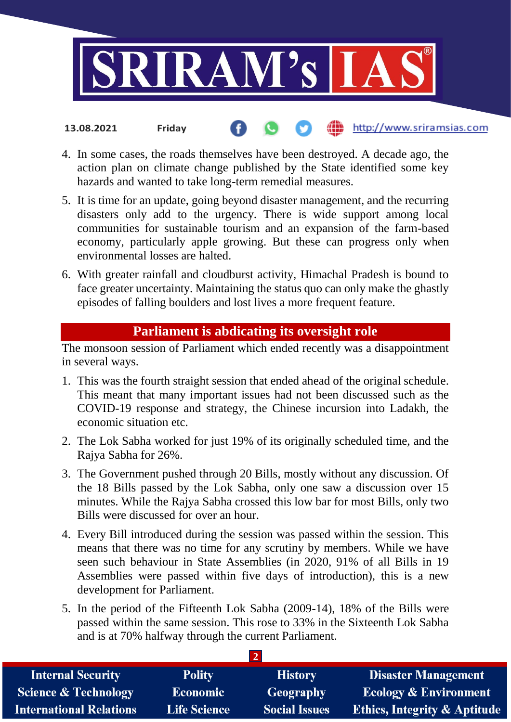

4. In some cases, the roads themselves have been destroyed. A decade ago, the action plan on climate change published by the State identified some key hazards and wanted to take long-term remedial measures.

http://www.sriramsias.com

**13.08.2021 Friday**

- 5. It is time for an update, going beyond disaster management, and the recurring disasters only add to the urgency. There is wide support among local communities for sustainable tourism and an expansion of the farm-based economy, particularly apple growing. But these can progress only when environmental losses are halted.
- 6. With greater rainfall and cloudburst activity, Himachal Pradesh is bound to face greater uncertainty. Maintaining the status quo can only make the ghastly episodes of falling boulders and lost lives a more frequent feature.

# **Parliament is abdicating its oversight role**

The monsoon session of Parliament which ended recently was a disappointment in several ways.

- 1. This was the fourth straight session that ended ahead of the original schedule. This meant that many important issues had not been discussed such as the COVID-19 response and strategy, the Chinese incursion into Ladakh, the economic situation etc.
- 2. The Lok Sabha worked for just 19% of its originally scheduled time, and the Rajya Sabha for 26%.
- 3. The Government pushed through 20 Bills, mostly without any discussion. Of the 18 Bills passed by the Lok Sabha, only one saw a discussion over 15 minutes. While the Rajya Sabha crossed this low bar for most Bills, only two Bills were discussed for over an hour.
- 4. Every Bill introduced during the session was passed within the session. This means that there was no time for any scrutiny by members. While we have seen such behaviour in State Assemblies (in 2020, 91% of all Bills in 19 Assemblies were passed within five days of introduction), this is a new development for Parliament.
- 5. In the period of the Fifteenth Lok Sabha (2009-14), 18% of the Bills were passed within the same session. This rose to 33% in the Sixteenth Lok Sabha and is at 70% halfway through the current Parliament.

**2**

| <b>Internal Security</b>        | <b>Polity</b>       | <b>History</b>       | <b>Disaster Management</b>              |  |  |  |
|---------------------------------|---------------------|----------------------|-----------------------------------------|--|--|--|
| <b>Science &amp; Technology</b> | <b>Economic</b>     | Geography            | <b>Ecology &amp; Environment</b>        |  |  |  |
| <b>International Relations</b>  | <b>Life Science</b> | <b>Social Issues</b> | <b>Ethics, Integrity &amp; Aptitude</b> |  |  |  |